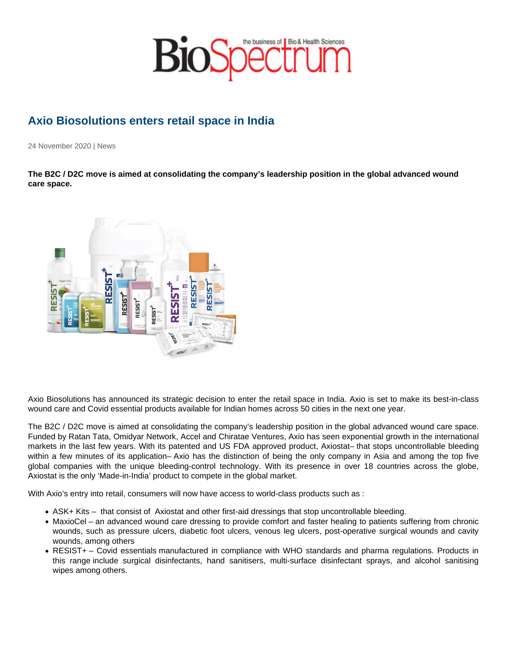## Axio Biosolutions enters retail space in India

24 November 2020 | News

The B2C / D2C move is aimed at consolidating the company's leadership position in the global advanced wound care space.

Axio Biosolutions has announced its strategic decision to enter the retail space in India. Axio is set to make its best-in-class wound care and Covid essential products available for Indian homes across 50 cities in the next one year.

The B2C / D2C move is aimed at consolidating the company's leadership position in the global advanced wound care space. Funded by Ratan Tata, Omidyar Network, Accel and Chiratae Ventures, Axio has seen exponential growth in the international markets in the last few years. With its patented and US FDA approved product, Axiostat– that stops uncontrollable bleeding within a few minutes of its application– Axio has the distinction of being the only company in Asia and among the top five global companies with the unique bleeding-control technology. With its presence in over 18 countries across the globe, Axiostat is the only 'Made-in-India' product to compete in the global market.

With Axio's entry into retail, consumers will now have access to world-class products such as :

- ASK+ Kits that consist of Axiostat and other first-aid dressings that stop uncontrollable bleeding.
- MaxioCel an advanced wound care dressing to provide comfort and faster healing to patients suffering from chronic wounds, such as pressure ulcers, diabetic foot ulcers, venous leg ulcers, post-operative surgical wounds and cavity wounds, among others
- RESIST+ Covid essentials manufactured in compliance with WHO standards and pharma regulations. Products in this range include surgical disinfectants, hand sanitisers, multi-surface disinfectant sprays, and alcohol sanitising wipes among others.